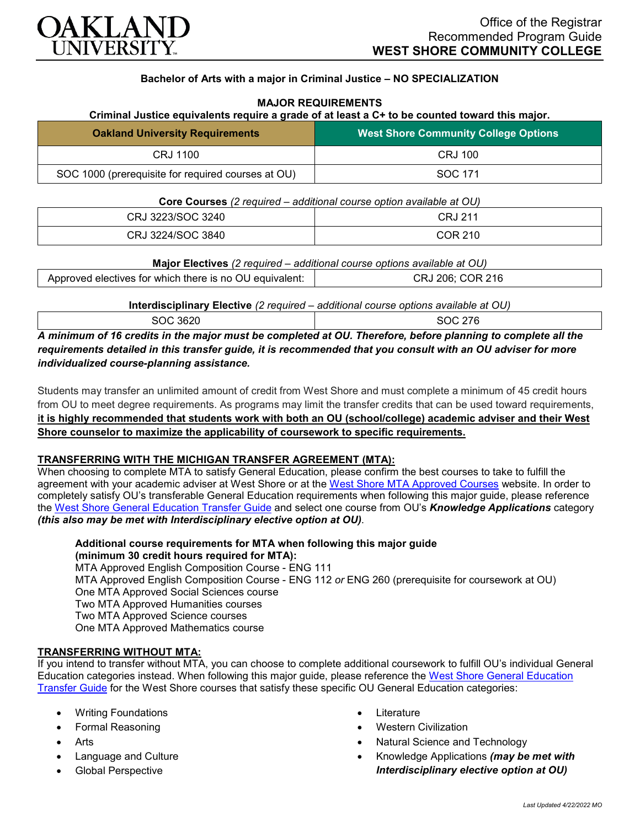

# **Bachelor of Arts with a major in Criminal Justice – NO SPECIALIZATION**

## **MAJOR REQUIREMENTS**

#### **Criminal Justice equivalents require a grade of at least a C+ to be counted toward this major.**

| <b>Oakland University Requirements</b>             | <b>West Shore Community College Options</b> |
|----------------------------------------------------|---------------------------------------------|
| CRJ 1100                                           | CRJ 100                                     |
| SOC 1000 (prerequisite for required courses at OU) | SOC 171                                     |

**Core Courses** *(2 required – additional course option available at OU)*

| CRJ 3223/SOC 3240 | CRJ 211 |
|-------------------|---------|
| CRJ 3224/SOC 3840 | COR 210 |

| Approved electives for which there is no OU equivalent:<br>эR |
|---------------------------------------------------------------|
|---------------------------------------------------------------|

**Interdisciplinary Elective** *(2 required – additional course options available at OU)*

SOC 3620

| .<br>___<br>. |
|---------------|
|               |
| 0.00002       |
|               |
| 00 L U        |
|               |

*A minimum of 16 credits in the major must be completed at OU. Therefore, before planning to complete all the requirements detailed in this transfer guide, it is recommended that you consult with an OU adviser for more individualized course-planning assistance.*

Students may transfer an unlimited amount of credit from West Shore and must complete a minimum of 45 credit hours from OU to meet degree requirements. As programs may limit the transfer credits that can be used toward requirements, **it is highly recommended that students work with both an OU (school/college) academic adviser and their West Shore counselor to maximize the applicability of coursework to specific requirements.**

## **TRANSFERRING WITH THE MICHIGAN TRANSFER AGREEMENT (MTA):**

When choosing to complete MTA to satisfy General Education, please confirm the best courses to take to fulfill the agreement with your academic adviser at West Shore or at the [West Shore MTA Approved Courses](https://www.westshore.edu/wp-content/uploads/2017/08/WSCC-MTA.pdf) website. In order to completely satisfy OU's transferable General Education requirements when following this major guide, please reference the [West Shore General Education Transfer Guide](https://www.oakland.edu/Assets/Oakland/program-guides/west-shore-community-college/university-general-education-requirements/West%20Shore%20Gen%20Ed.pdf) and select one course from OU's *Knowledge Applications* category *(this also may be met with Interdisciplinary elective option at OU)*.

**Additional course requirements for MTA when following this major guide (minimum 30 credit hours required for MTA):**

MTA Approved English Composition Course - ENG 111 MTA Approved English Composition Course - ENG 112 *or* ENG 260 (prerequisite for coursework at OU) One MTA Approved Social Sciences course Two MTA Approved Humanities courses Two MTA Approved Science courses One MTA Approved Mathematics course

## **TRANSFERRING WITHOUT MTA:**

If you intend to transfer without MTA, you can choose to complete additional coursework to fulfill OU's individual General Education categories instead. When following this major guide, please reference the [West Shore General Education](https://www.oakland.edu/Assets/Oakland/program-guides/west-shore-community-college/university-general-education-requirements/West%20Shore%20Gen%20Ed.pdf)  [Transfer Guide](https://www.oakland.edu/Assets/Oakland/program-guides/west-shore-community-college/university-general-education-requirements/West%20Shore%20Gen%20Ed.pdf) for the West Shore courses that satisfy these specific OU General Education categories:

- Writing Foundations
- Formal Reasoning
- **Arts**
- Language and Culture
- Global Perspective
- **Literature**
- Western Civilization
- Natural Science and Technology
- Knowledge Applications *(may be met with Interdisciplinary elective option at OU)*